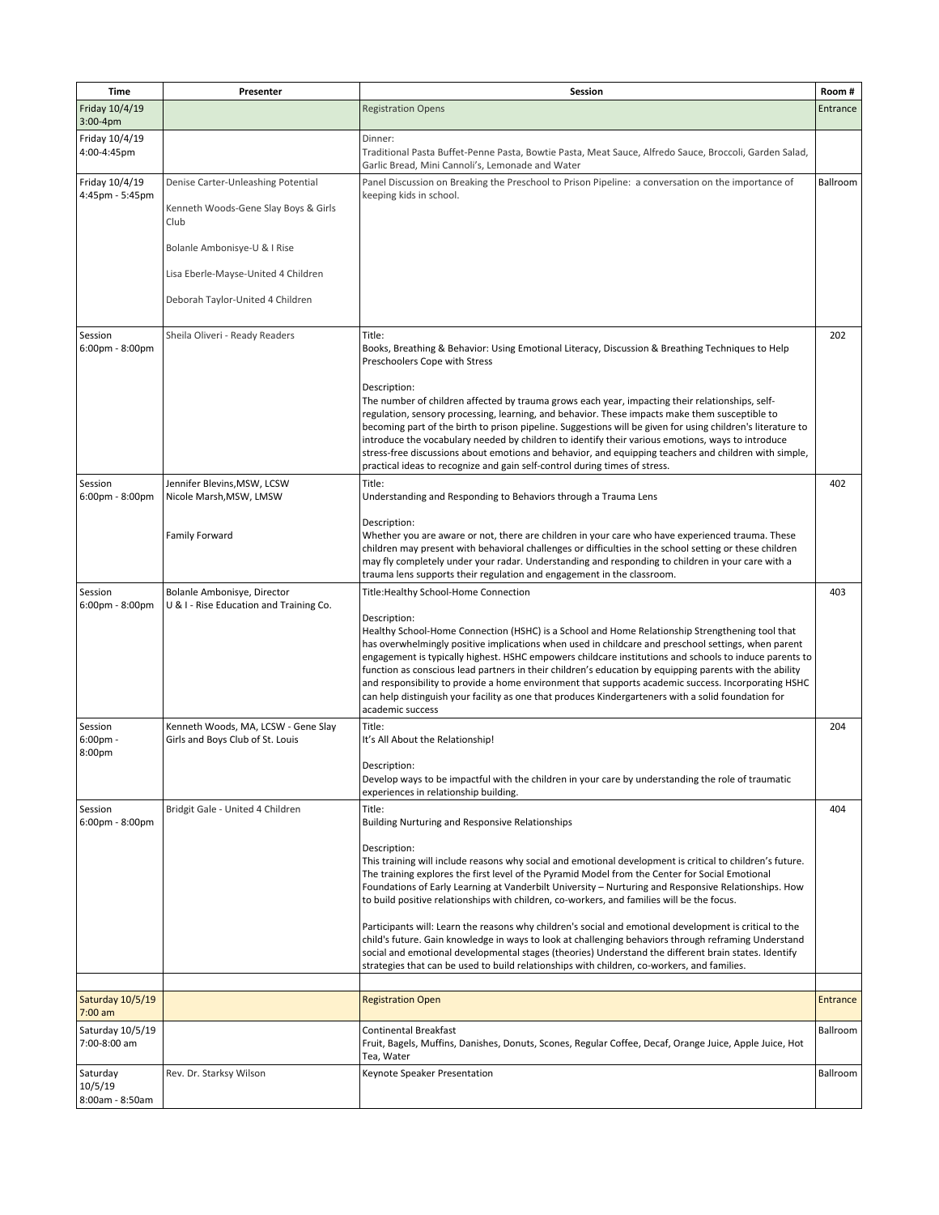| Time                                         | Presenter                                                                  | Session                                                                                                                                                                                                                                                                                                                                                                                                                                                                                                                                                                                                                                                                       | Room#           |
|----------------------------------------------|----------------------------------------------------------------------------|-------------------------------------------------------------------------------------------------------------------------------------------------------------------------------------------------------------------------------------------------------------------------------------------------------------------------------------------------------------------------------------------------------------------------------------------------------------------------------------------------------------------------------------------------------------------------------------------------------------------------------------------------------------------------------|-----------------|
| Friday 10/4/19<br>$3:00-4$ pm                |                                                                            | <b>Registration Opens</b>                                                                                                                                                                                                                                                                                                                                                                                                                                                                                                                                                                                                                                                     | Entrance        |
| Friday 10/4/19<br>4:00-4:45pm                |                                                                            | Dinner:<br>Traditional Pasta Buffet-Penne Pasta, Bowtie Pasta, Meat Sauce, Alfredo Sauce, Broccoli, Garden Salad,<br>Garlic Bread, Mini Cannoli's, Lemonade and Water                                                                                                                                                                                                                                                                                                                                                                                                                                                                                                         |                 |
| Friday 10/4/19<br>4:45pm - 5:45pm            | Denise Carter-Unleashing Potential<br>Kenneth Woods-Gene Slay Boys & Girls | Panel Discussion on Breaking the Preschool to Prison Pipeline: a conversation on the importance of<br>keeping kids in school.                                                                                                                                                                                                                                                                                                                                                                                                                                                                                                                                                 | Ballroom        |
|                                              | Club                                                                       |                                                                                                                                                                                                                                                                                                                                                                                                                                                                                                                                                                                                                                                                               |                 |
|                                              | Bolanle Ambonisye-U & I Rise<br>Lisa Eberle-Mayse-United 4 Children        |                                                                                                                                                                                                                                                                                                                                                                                                                                                                                                                                                                                                                                                                               |                 |
|                                              | Deborah Taylor-United 4 Children                                           |                                                                                                                                                                                                                                                                                                                                                                                                                                                                                                                                                                                                                                                                               |                 |
|                                              |                                                                            |                                                                                                                                                                                                                                                                                                                                                                                                                                                                                                                                                                                                                                                                               |                 |
| Session<br>6:00pm - 8:00pm                   | Sheila Oliveri - Ready Readers                                             | Title:<br>Books, Breathing & Behavior: Using Emotional Literacy, Discussion & Breathing Techniques to Help<br>Preschoolers Cope with Stress                                                                                                                                                                                                                                                                                                                                                                                                                                                                                                                                   | 202             |
|                                              |                                                                            | Description:<br>The number of children affected by trauma grows each year, impacting their relationships, self-<br>regulation, sensory processing, learning, and behavior. These impacts make them susceptible to<br>becoming part of the birth to prison pipeline. Suggestions will be given for using children's literature to<br>introduce the vocabulary needed by children to identify their various emotions, ways to introduce<br>stress-free discussions about emotions and behavior, and equipping teachers and children with simple,<br>practical ideas to recognize and gain self-control during times of stress.                                                  |                 |
| Session<br>$6:00 \text{pm} - 8:00 \text{pm}$ | Jennifer Blevins, MSW, LCSW<br>Nicole Marsh, MSW, LMSW                     | Title:<br>Understanding and Responding to Behaviors through a Trauma Lens                                                                                                                                                                                                                                                                                                                                                                                                                                                                                                                                                                                                     | 402             |
|                                              | Family Forward                                                             | Description:<br>Whether you are aware or not, there are children in your care who have experienced trauma. These<br>children may present with behavioral challenges or difficulties in the school setting or these children<br>may fly completely under your radar. Understanding and responding to children in your care with a<br>trauma lens supports their regulation and engagement in the classroom.                                                                                                                                                                                                                                                                    |                 |
| Session<br>6:00pm - 8:00pm                   | Bolanle Ambonisye, Director<br>U & I - Rise Education and Training Co.     | Title: Healthy School-Home Connection                                                                                                                                                                                                                                                                                                                                                                                                                                                                                                                                                                                                                                         | 403             |
|                                              |                                                                            | Description:<br>Healthy School-Home Connection (HSHC) is a School and Home Relationship Strengthening tool that<br>has overwhelmingly positive implications when used in childcare and preschool settings, when parent<br>engagement is typically highest. HSHC empowers childcare institutions and schools to induce parents to<br>function as conscious lead partners in their children's education by equipping parents with the ability<br>and responsibility to provide a home environment that supports academic success. Incorporating HSHC<br>can help distinguish your facility as one that produces Kindergarteners with a solid foundation for<br>academic success |                 |
| Session<br>$6:00$ pm -<br>8:00pm             | Kenneth Woods, MA, LCSW - Gene Slay<br>Girls and Boys Club of St. Louis    | Title:<br>It's All About the Relationship!                                                                                                                                                                                                                                                                                                                                                                                                                                                                                                                                                                                                                                    | 204             |
|                                              |                                                                            | Description:<br>Develop ways to be impactful with the children in your care by understanding the role of traumatic<br>experiences in relationship building.                                                                                                                                                                                                                                                                                                                                                                                                                                                                                                                   |                 |
| Session<br>6:00pm - 8:00pm                   | Bridgit Gale - United 4 Children                                           | Title:<br><b>Building Nurturing and Responsive Relationships</b>                                                                                                                                                                                                                                                                                                                                                                                                                                                                                                                                                                                                              | 404             |
|                                              |                                                                            | Description:<br>This training will include reasons why social and emotional development is critical to children's future.<br>The training explores the first level of the Pyramid Model from the Center for Social Emotional<br>Foundations of Early Learning at Vanderbilt University - Nurturing and Responsive Relationships. How<br>to build positive relationships with children, co-workers, and families will be the focus.                                                                                                                                                                                                                                            |                 |
|                                              |                                                                            | Participants will: Learn the reasons why children's social and emotional development is critical to the<br>child's future. Gain knowledge in ways to look at challenging behaviors through reframing Understand<br>social and emotional developmental stages (theories) Understand the different brain states. Identify<br>strategies that can be used to build relationships with children, co-workers, and families.                                                                                                                                                                                                                                                        |                 |
| Saturday 10/5/19                             |                                                                            | <b>Registration Open</b>                                                                                                                                                                                                                                                                                                                                                                                                                                                                                                                                                                                                                                                      | <b>Entrance</b> |
| $7:00$ am                                    |                                                                            |                                                                                                                                                                                                                                                                                                                                                                                                                                                                                                                                                                                                                                                                               |                 |
| Saturday 10/5/19<br>7:00-8:00 am             |                                                                            | Continental Breakfast<br>Fruit, Bagels, Muffins, Danishes, Donuts, Scones, Regular Coffee, Decaf, Orange Juice, Apple Juice, Hot<br>Tea, Water                                                                                                                                                                                                                                                                                                                                                                                                                                                                                                                                | Ballroom        |
| Saturday<br>10/5/19<br>8:00am - 8:50am       | Rev. Dr. Starksy Wilson                                                    | Keynote Speaker Presentation                                                                                                                                                                                                                                                                                                                                                                                                                                                                                                                                                                                                                                                  | Ballroom        |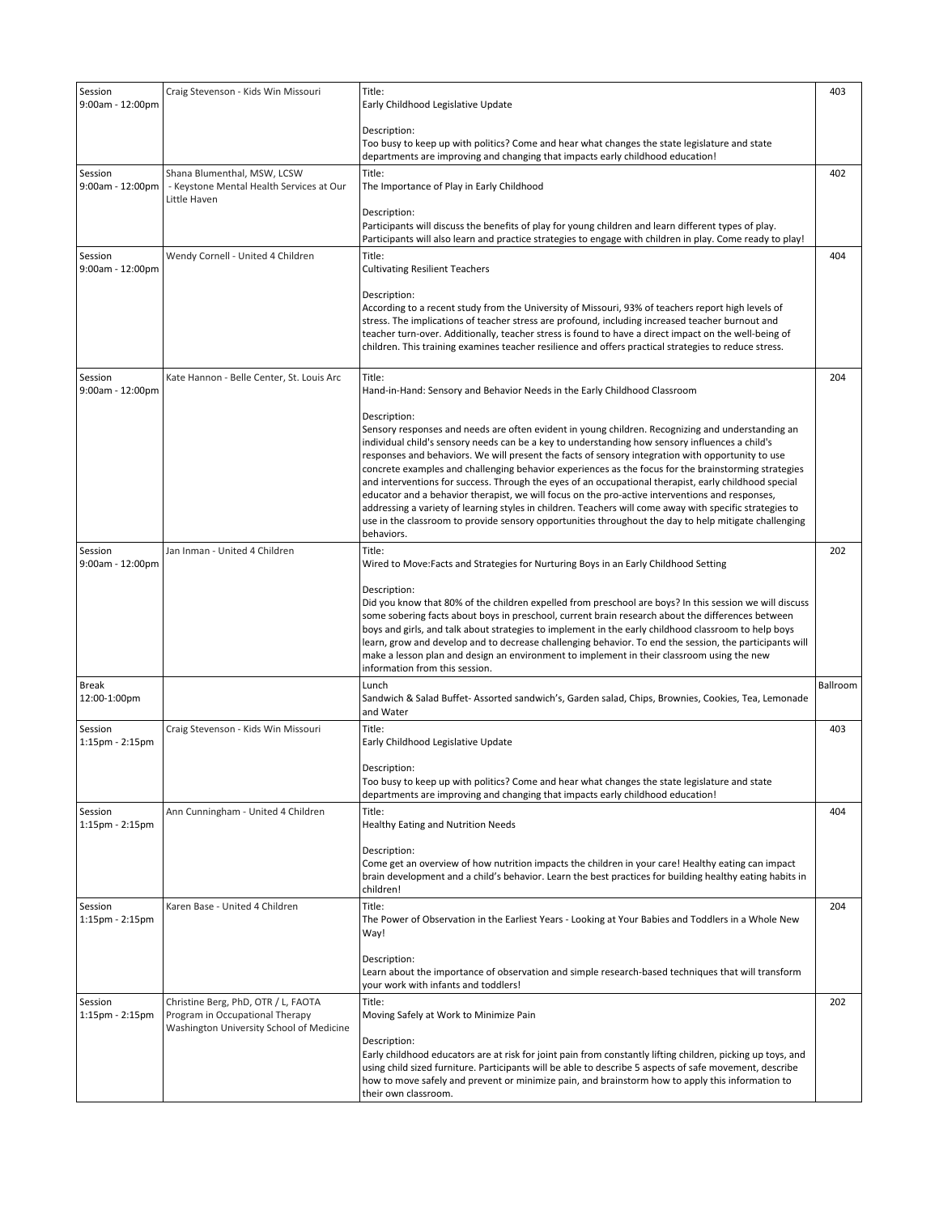| Session<br>9:00am - 12:00pm      | Craig Stevenson - Kids Win Missouri                                                                                | Title:<br>Early Childhood Legislative Update                                                                                                                                                                                                                                                                                                                                                                                                                                                                                                                                                                                                                                                                                                                                                                                                                                     | 403      |
|----------------------------------|--------------------------------------------------------------------------------------------------------------------|----------------------------------------------------------------------------------------------------------------------------------------------------------------------------------------------------------------------------------------------------------------------------------------------------------------------------------------------------------------------------------------------------------------------------------------------------------------------------------------------------------------------------------------------------------------------------------------------------------------------------------------------------------------------------------------------------------------------------------------------------------------------------------------------------------------------------------------------------------------------------------|----------|
|                                  |                                                                                                                    | Description:<br>Too busy to keep up with politics? Come and hear what changes the state legislature and state<br>departments are improving and changing that impacts early childhood education!                                                                                                                                                                                                                                                                                                                                                                                                                                                                                                                                                                                                                                                                                  |          |
| Session<br>9:00am - 12:00pm      | Shana Blumenthal, MSW, LCSW<br>- Keystone Mental Health Services at Our<br>Little Haven                            | Title:<br>The Importance of Play in Early Childhood                                                                                                                                                                                                                                                                                                                                                                                                                                                                                                                                                                                                                                                                                                                                                                                                                              | 402      |
|                                  |                                                                                                                    | Description:<br>Participants will discuss the benefits of play for young children and learn different types of play.<br>Participants will also learn and practice strategies to engage with children in play. Come ready to play!                                                                                                                                                                                                                                                                                                                                                                                                                                                                                                                                                                                                                                                |          |
| Session<br>9:00am - 12:00pm      | Wendy Cornell - United 4 Children                                                                                  | Title:<br><b>Cultivating Resilient Teachers</b>                                                                                                                                                                                                                                                                                                                                                                                                                                                                                                                                                                                                                                                                                                                                                                                                                                  | 404      |
|                                  |                                                                                                                    | Description:<br>According to a recent study from the University of Missouri, 93% of teachers report high levels of<br>stress. The implications of teacher stress are profound, including increased teacher burnout and<br>teacher turn-over. Additionally, teacher stress is found to have a direct impact on the well-being of<br>children. This training examines teacher resilience and offers practical strategies to reduce stress.                                                                                                                                                                                                                                                                                                                                                                                                                                         |          |
| Session<br>9:00am - 12:00pm      | Kate Hannon - Belle Center, St. Louis Arc                                                                          | Title:<br>Hand-in-Hand: Sensory and Behavior Needs in the Early Childhood Classroom                                                                                                                                                                                                                                                                                                                                                                                                                                                                                                                                                                                                                                                                                                                                                                                              | 204      |
|                                  |                                                                                                                    | Description:<br>Sensory responses and needs are often evident in young children. Recognizing and understanding an<br>individual child's sensory needs can be a key to understanding how sensory influences a child's<br>responses and behaviors. We will present the facts of sensory integration with opportunity to use<br>concrete examples and challenging behavior experiences as the focus for the brainstorming strategies<br>and interventions for success. Through the eyes of an occupational therapist, early childhood special<br>educator and a behavior therapist, we will focus on the pro-active interventions and responses,<br>addressing a variety of learning styles in children. Teachers will come away with specific strategies to<br>use in the classroom to provide sensory opportunities throughout the day to help mitigate challenging<br>behaviors. |          |
| Session<br>9:00am - 12:00pm      | Jan Inman - United 4 Children                                                                                      | Title:<br>Wired to Move:Facts and Strategies for Nurturing Boys in an Early Childhood Setting                                                                                                                                                                                                                                                                                                                                                                                                                                                                                                                                                                                                                                                                                                                                                                                    | 202      |
|                                  |                                                                                                                    | Description:<br>Did you know that 80% of the children expelled from preschool are boys? In this session we will discuss<br>some sobering facts about boys in preschool, current brain research about the differences between<br>boys and girls, and talk about strategies to implement in the early childhood classroom to help boys<br>learn, grow and develop and to decrease challenging behavior. To end the session, the participants will<br>make a lesson plan and design an environment to implement in their classroom using the new<br>information from this session.                                                                                                                                                                                                                                                                                                  |          |
| <b>Break</b><br>12:00-1:00pm     |                                                                                                                    | Lunch<br>Sandwich & Salad Buffet-Assorted sandwich's, Garden salad, Chips, Brownies, Cookies, Tea, Lemonade<br>and Water                                                                                                                                                                                                                                                                                                                                                                                                                                                                                                                                                                                                                                                                                                                                                         | Ballroom |
| Session<br>1:15pm - 2:15pm       | Craig Stevenson - Kids Win Missouri                                                                                | Title:<br>Early Childhood Legislative Update                                                                                                                                                                                                                                                                                                                                                                                                                                                                                                                                                                                                                                                                                                                                                                                                                                     | 403      |
|                                  |                                                                                                                    | Description:<br>Too busy to keep up with politics? Come and hear what changes the state legislature and state<br>departments are improving and changing that impacts early childhood education!                                                                                                                                                                                                                                                                                                                                                                                                                                                                                                                                                                                                                                                                                  |          |
| Session<br>1:15pm - 2:15pm       | Ann Cunningham - United 4 Children                                                                                 | Title:<br>Healthy Eating and Nutrition Needs                                                                                                                                                                                                                                                                                                                                                                                                                                                                                                                                                                                                                                                                                                                                                                                                                                     | 404      |
|                                  |                                                                                                                    | Description:<br>Come get an overview of how nutrition impacts the children in your care! Healthy eating can impact<br>brain development and a child's behavior. Learn the best practices for building healthy eating habits in<br>children!                                                                                                                                                                                                                                                                                                                                                                                                                                                                                                                                                                                                                                      |          |
| Session<br>1:15pm - 2:15pm       | Karen Base - United 4 Children                                                                                     | Title:<br>The Power of Observation in the Earliest Years - Looking at Your Babies and Toddlers in a Whole New<br>Way!                                                                                                                                                                                                                                                                                                                                                                                                                                                                                                                                                                                                                                                                                                                                                            | 204      |
|                                  |                                                                                                                    | Description:<br>Learn about the importance of observation and simple research-based techniques that will transform<br>your work with infants and toddlers!                                                                                                                                                                                                                                                                                                                                                                                                                                                                                                                                                                                                                                                                                                                       |          |
| Session<br>$1:15$ pm - $2:15$ pm | Christine Berg, PhD, OTR / L, FAOTA<br>Program in Occupational Therapy<br>Washington University School of Medicine | Title:<br>Moving Safely at Work to Minimize Pain<br>Description:<br>Early childhood educators are at risk for joint pain from constantly lifting children, picking up toys, and                                                                                                                                                                                                                                                                                                                                                                                                                                                                                                                                                                                                                                                                                                  | 202      |
|                                  |                                                                                                                    | using child sized furniture. Participants will be able to describe 5 aspects of safe movement, describe<br>how to move safely and prevent or minimize pain, and brainstorm how to apply this information to<br>their own classroom.                                                                                                                                                                                                                                                                                                                                                                                                                                                                                                                                                                                                                                              |          |